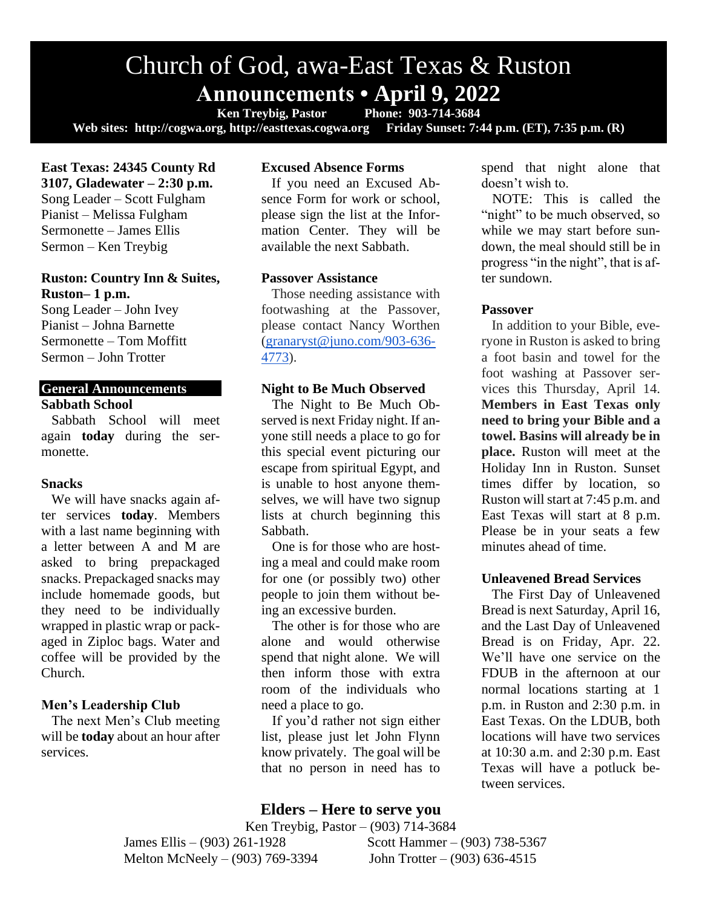# Church of God, awa-East Texas & Ruston **Announcements • April 9, 2022**<br>Ken Trevbig, Pastor Phone: 903-714-3684

**Ken Treybig, Pastor Web sites: http://cogwa.org, http://easttexas.cogwa.org Friday Sunset: 7:44 p.m. (ET), 7:35 p.m. (R)**

**East Texas: 24345 County Rd 3107, Gladewater – 2:30 p.m.** Song Leader – Scott Fulgham Pianist – Melissa Fulgham Sermonette – James Ellis Sermon – Ken Treybig

## **Ruston: Country Inn & Suites, Ruston– 1 p.m.**

Song Leader – John Ivey Pianist – Johna Barnette Sermonette – Tom Moffitt Sermon – John Trotter

## **General Announcements Sabbath School**

Sabbath School will meet again **today** during the sermonette.

## **Snacks**

We will have snacks again after services **today**. Members with a last name beginning with a letter between A and M are asked to bring prepackaged snacks. Prepackaged snacks may include homemade goods, but they need to be individually wrapped in plastic wrap or packaged in Ziploc bags. Water and coffee will be provided by the Church.

# **Men's Leadership Club**

The next Men's Club meeting will be **today** about an hour after services.

# **Excused Absence Forms**

If you need an Excused Absence Form for work or school, please sign the list at the Information Center. They will be available the next Sabbath.

## **Passover Assistance**

Those needing assistance with footwashing at the Passover, please contact Nancy Worthen [\(granaryst@juno.com/903-636-](mailto:granaryst@juno.com/903-636-4773) [4773\)](mailto:granaryst@juno.com/903-636-4773).

## **Night to Be Much Observed**

The Night to Be Much Observed is next Friday night. If anyone still needs a place to go for this special event picturing our escape from spiritual Egypt, and is unable to host anyone themselves, we will have two signup lists at church beginning this Sabbath.

One is for those who are hosting a meal and could make room for one (or possibly two) other people to join them without being an excessive burden.

The other is for those who are alone and would otherwise spend that night alone. We will then inform those with extra room of the individuals who need a place to go.

If you'd rather not sign either list, please just let John Flynn know privately. The goal will be that no person in need has to

# **Elders – Here to serve you**

Ken Treybig, Pastor – (903) 714-3684 James Ellis – (903) 261-1928 Scott Hammer – (903) 738-5367 Melton McNeely – (903) 769-3394 John Trotter – (903) 636-4515

spend that night alone that doesn't wish to.

NOTE: This is called the "night" to be much observed, so while we may start before sundown, the meal should still be in progress "in the night", that is after sundown.

## **Passover**

In addition to your Bible, everyone in Ruston is asked to bring a foot basin and towel for the foot washing at Passover services this Thursday, April 14. **Members in East Texas only need to bring your Bible and a towel. Basins will already be in place.** Ruston will meet at the Holiday Inn in Ruston. Sunset times differ by location, so Ruston will start at 7:45 p.m. and East Texas will start at 8 p.m. Please be in your seats a few minutes ahead of time.

# **Unleavened Bread Services**

The First Day of Unleavened Bread is next Saturday, April 16, and the Last Day of Unleavened Bread is on Friday, Apr. 22. We'll have one service on the FDUB in the afternoon at our normal locations starting at 1 p.m. in Ruston and 2:30 p.m. in East Texas. On the LDUB, both locations will have two services at 10:30 a.m. and 2:30 p.m. East Texas will have a potluck between services.